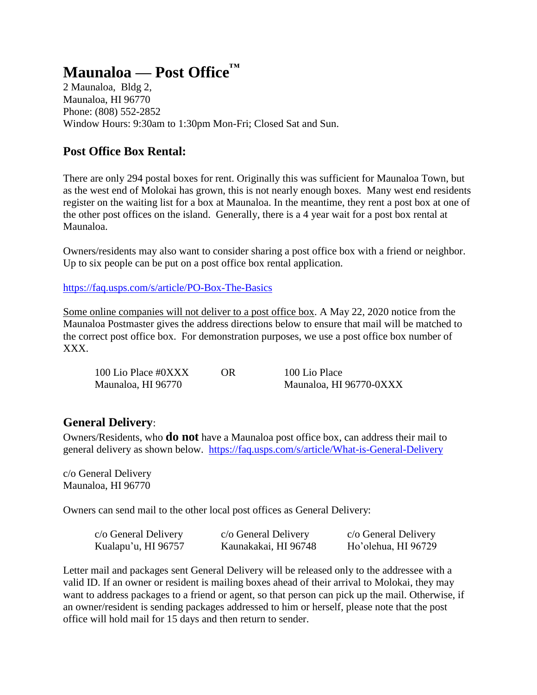#### **Maunaloa — Post Office™**

2 Maunaloa, Bldg 2, Maunaloa, HI 96770 Phone: (808) 552-2852 Window Hours: 9:30am to 1:30pm Mon-Fri; Closed Sat and Sun.

#### **Post Office Box Rental:**

There are only 294 postal boxes for rent. Originally this was sufficient for Maunaloa Town, but as the west end of Molokai has grown, this is not nearly enough boxes. Many west end residents register on the waiting list for a box at Maunaloa. In the meantime, they rent a post box at one of the other post offices on the island. Generally, there is a 4 year wait for a post box rental at Maunaloa.

Owners/residents may also want to consider sharing a post office box with a friend or neighbor. Up to six people can be put on a post office box rental application.

<https://faq.usps.com/s/article/PO-Box-The-Basics>

Some online companies will not deliver to a post office box. A May 22, 2020 notice from the Maunaloa Postmaster gives the address directions below to ensure that mail will be matched to the correct post office box. For demonstration purposes, we use a post office box number of XXX.

| 100 Lio Place #0XXX | OR | 100 Lio Place           |
|---------------------|----|-------------------------|
| Maunaloa, HI 96770  |    | Maunaloa, HI 96770-0XXX |

#### **General Delivery**:

Owners/Residents, who **do not** have a Maunaloa post office box, can address their mail to general delivery as shown below. <https://faq.usps.com/s/article/What-is-General-Delivery>

c/o General Delivery Maunaloa, HI 96770

Owners can send mail to the other local post offices as General Delivery:

| c/o General Delivery | c/o General Delivery | c/o General Delivery |
|----------------------|----------------------|----------------------|
| Kualapu'u, HI 96757  | Kaunakakai, HI 96748 | Ho'olehua, HI 96729  |

Letter mail and packages sent General Delivery will be released only to the addressee with a valid ID. If an owner or resident is mailing boxes ahead of their arrival to Molokai, they may want to address packages to a friend or agent, so that person can pick up the mail. Otherwise, if an owner/resident is sending packages addressed to him or herself, please note that the post office will hold mail for 15 days and then return to sender.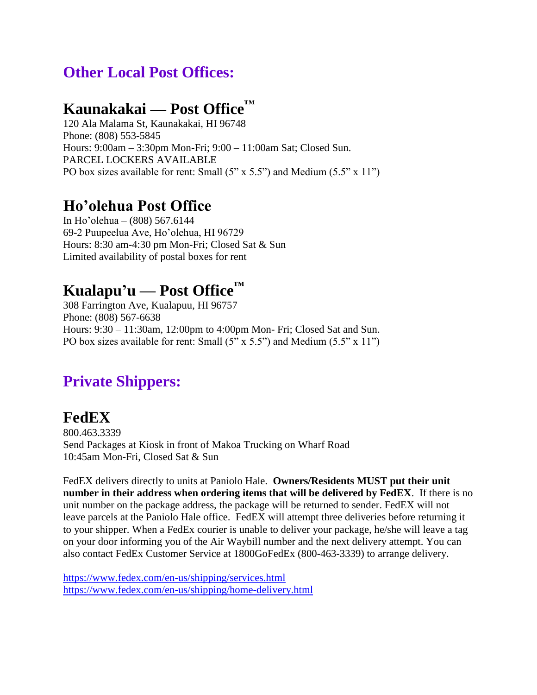#### **Other Local Post Offices:**

#### **Kaunakakai — Post Office™**

120 Ala Malama St, Kaunakakai, HI 96748 Phone: (808) 553-5845 Hours: 9:00am – 3:30pm Mon-Fri; 9:00 – 11:00am Sat; Closed Sun. PARCEL LOCKERS AVAILABLE PO box sizes available for rent: Small  $(5" \times 5.5")$  and Medium  $(5.5" \times 11")$ 

#### **Ho'olehua Post Office**

In Ho'olehua – (808) 567.6144 69-2 Puupeelua Ave, Ho'olehua, HI 96729 Hours: 8:30 am-4:30 pm Mon-Fri; Closed Sat & Sun Limited availability of postal boxes for rent

# **Kualapu'u — Post Office™**

308 Farrington Ave, Kualapuu, HI 96757 Phone: (808) 567-6638 Hours: 9:30 – 11:30am, 12:00pm to 4:00pm Mon- Fri; Closed Sat and Sun. PO box sizes available for rent: Small  $(5" \times 5.5")$  and Medium  $(5.5" \times 11")$ 

#### **Private Shippers:**

#### **FedEX**

800.463.3339 Send Packages at Kiosk in front of Makoa Trucking on Wharf Road 10:45am Mon-Fri, Closed Sat & Sun

FedEX delivers directly to units at Paniolo Hale. **Owners/Residents MUST put their unit number in their address when ordering items that will be delivered by FedEX**. If there is no unit number on the package address, the package will be returned to sender. FedEX will not leave parcels at the Paniolo Hale office. FedEX will attempt three deliveries before returning it to your shipper. When a FedEx courier is unable to deliver your package, he/she will leave a tag on your door informing you of the Air Waybill number and the next delivery attempt. You can also contact FedEx Customer Service at 1800GoFedEx (800-463-3339) to arrange delivery.

<https://www.fedex.com/en-us/shipping/services.html> <https://www.fedex.com/en-us/shipping/home-delivery.html>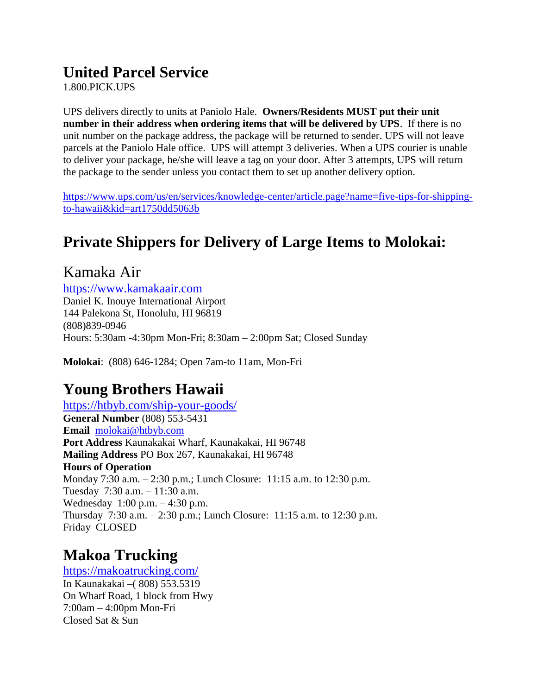#### **United Parcel Service**

1.800.PICK.UPS

UPS delivers directly to units at Paniolo Hale. **Owners/Residents MUST put their unit number in their address when ordering items that will be delivered by UPS**. If there is no unit number on the package address, the package will be returned to sender. UPS will not leave parcels at the Paniolo Hale office. UPS will attempt 3 deliveries. When a UPS courier is unable to deliver your package, he/she will leave a tag on your door. After 3 attempts, UPS will return the package to the sender unless you contact them to set up another delivery option.

[https://www.ups.com/us/en/services/knowledge-center/article.page?name=five-tips-for-shipping](https://www.ups.com/us/en/services/knowledge-center/article.page?name=five-tips-for-shipping-to-hawaii&kid=art1750dd5063b)[to-hawaii&kid=art1750dd5063b](https://www.ups.com/us/en/services/knowledge-center/article.page?name=five-tips-for-shipping-to-hawaii&kid=art1750dd5063b)

## **Private Shippers for Delivery of Large Items to Molokai:**

Kamaka Air [https://www.kamakaair.com](https://www.kamakaair.com/) [Daniel K. Inouye International Airport](https://www.google.com/search?client=firefox-b-1-d&sxsrf=ALeKk014VavaVzTOtToBGF8yR3wBL6aElA:1613072367960&q=Daniel+K.+Inouye+International+Airport&ludocid=9138104574240043487&lsig=AB86z5W9xwLaukZxljJdP0uZ55HZ&sa=X&ved=2ahUKEwiAwfTryuLuAhXaXM0KHUBQCBEQ8G0oADAcegQIMBAB) 144 Palekona St, Honolulu, HI 96819 (808)839-0946 Hours: 5:30am -4:30pm Mon-Fri; 8:30am – 2:00pm Sat; Closed Sunday

**Molokai**: (808) 646-1284; Open 7am-to 11am, Mon-Fri

#### **Young Brothers Hawaii**

<https://htbyb.com/ship-your-goods/> **General Number** (808) 553-5431 **Email** [molokai@htbyb.com](mailto:molokai@htbyb.com) **Port Address** Kaunakakai Wharf, Kaunakakai, HI 96748 **Mailing Address** PO Box 267, Kaunakakai, HI 96748 **Hours of Operation** Monday 7:30 a.m. – 2:30 p.m.; Lunch Closure: 11:15 a.m. to 12:30 p.m. Tuesday 7:30 a.m. – 11:30 a.m. Wednesday 1:00 p.m. – 4:30 p.m. Thursday 7:30 a.m. – 2:30 p.m.; Lunch Closure: 11:15 a.m. to 12:30 p.m. Friday CLOSED

### **Makoa Trucking**

<https://makoatrucking.com/> In Kaunakakai –( 808) 553.5319 On Wharf Road, 1 block from Hwy 7:00am – 4:00pm Mon-Fri Closed Sat & Sun